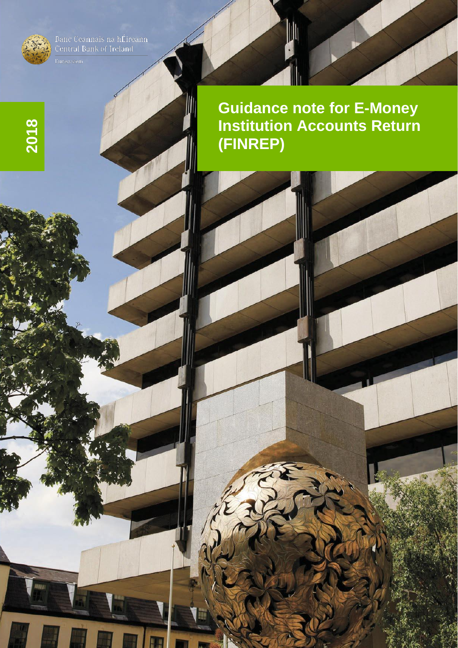

**2018**

Banc Ceannais na hÉireann<br>Central Bank of Ireland

**Guidance note for E -Money Institution Accounts Return (FINREP)**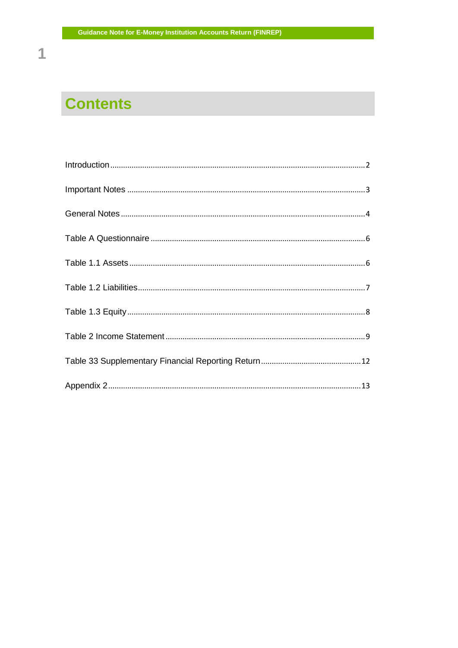# **Contents**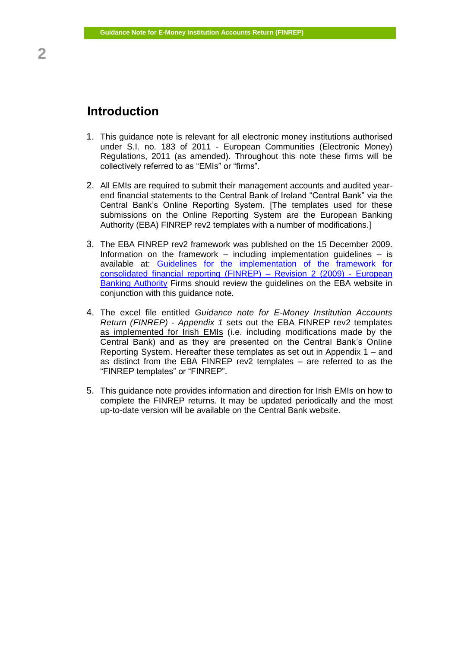- <span id="page-4-0"></span>1. This guidance note is relevant for all electronic money institutions authorised under S.I. no. 183 of 2011 - European Communities (Electronic Money) Regulations, 2011 (as amended). Throughout this note these firms will be collectively referred to as "EMIs" or "firms".
- 2. All EMIs are required to submit their management accounts and audited yearend financial statements to the Central Bank of Ireland "Central Bank" via the Central Bank's Online Reporting System. [The templates used for these submissions on the Online Reporting System are the European Banking Authority (EBA) FINREP rev2 templates with a number of modifications.]
- 3. The EBA FINREP rev2 framework was published on the 15 December 2009. Information on the framework – including implementation quidelines – is available at: Guidelines for the implementation of the framework for [consolidated financial reporting \(FINREP\) –](https://www.eba.europa.eu/regulation-and-policy/supervisory-reporting/guidelines-for-the-implementation-of-the-framework-for-consolidated-financial-reporting-revision-2) Revision 2 (2009) - European [Banking Authority](https://www.eba.europa.eu/regulation-and-policy/supervisory-reporting/guidelines-for-the-implementation-of-the-framework-for-consolidated-financial-reporting-revision-2) Firms should review the guidelines on the EBA website in conjunction with this guidance note.
- 4. The excel file entitled *Guidance note for E-Money Institution Accounts Return (FINREP) - Appendix 1* sets out the EBA FINREP rev2 templates as implemented for Irish EMIs (i.e. including modifications made by the Central Bank) and as they are presented on the Central Bank's Online Reporting System. Hereafter these templates as set out in Appendix 1 – and as distinct from the EBA FINREP rev2 templates – are referred to as the "FINREP templates" or "FINREP".
- 5. This guidance note provides information and direction for Irish EMIs on how to complete the FINREP returns. It may be updated periodically and the most up-to-date version will be available on the Central Bank website.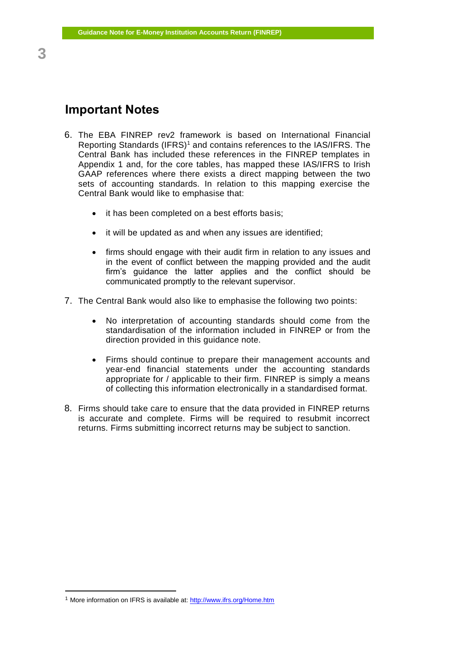## <span id="page-5-0"></span>**Important Notes**

- 6. The EBA FINREP rev2 framework is based on International Financial Reporting Standards (IFRS)<sup>1</sup> and contains references to the IAS/IFRS. The Central Bank has included these references in the FINREP templates in Appendix 1 and, for the core tables, has mapped these IAS/IFRS to Irish GAAP references where there exists a direct mapping between the two sets of accounting standards. In relation to this mapping exercise the Central Bank would like to emphasise that:
	- it has been completed on a best efforts basis;
	- it will be updated as and when any issues are identified;
	- firms should engage with their audit firm in relation to any issues and in the event of conflict between the mapping provided and the audit firm's guidance the latter applies and the conflict should be communicated promptly to the relevant supervisor.
- 7. The Central Bank would also like to emphasise the following two points:
	- No interpretation of accounting standards should come from the standardisation of the information included in FINREP or from the direction provided in this guidance note.
	- Firms should continue to prepare their management accounts and year-end financial statements under the accounting standards appropriate for / applicable to their firm. FINREP is simply a means of collecting this information electronically in a standardised format.
- 8. Firms should take care to ensure that the data provided in FINREP returns is accurate and complete. Firms will be required to resubmit incorrect returns. Firms submitting incorrect returns may be subject to sanction.

 $\overline{a}$ 

**<sup>3</sup>**

<sup>1</sup> More information on IFRS is available at:<http://www.ifrs.org/Home.htm>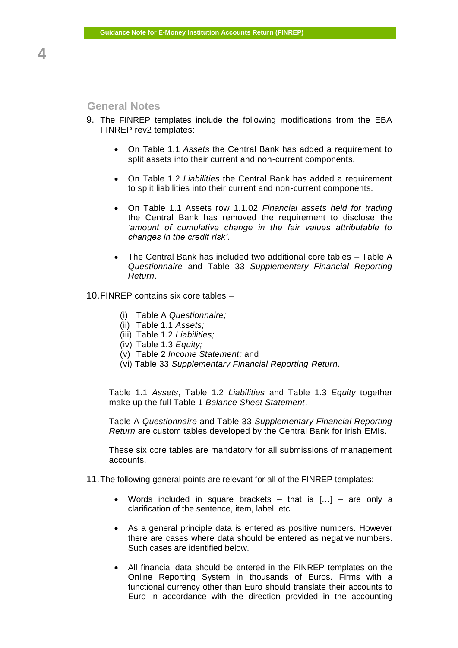#### <span id="page-6-0"></span>**General Notes**

- 9. The FINREP templates include the following modifications from the EBA FINREP rev2 templates:
	- On Table 1.1 *Assets* the Central Bank has added a requirement to split assets into their current and non-current components.
	- On Table 1.2 *Liabilities* the Central Bank has added a requirement to split liabilities into their current and non-current components.
	- On Table 1.1 Assets row 1.1.02 *Financial assets held for trading* the Central Bank has removed the requirement to disclose the *'amount of cumulative change in the fair values attributable to changes in the credit risk'*.
	- The Central Bank has included two additional core tables Table A *Questionnaire* and Table 33 *Supplementary Financial Reporting Return*.

#### 10.FINREP contains six core tables –

- (i) Table A *Questionnaire;*
- (ii) Table 1.1 *Assets;*
- (iii) Table 1.2 *Liabilities;*
- (iv) Table 1.3 *Equity;*
- (v) Table 2 *Income Statement;* and
- (vi) Table 33 *Supplementary Financial Reporting Return*.

Table 1.1 *Assets*, Table 1.2 *Liabilities* and Table 1.3 *Equity* together make up the full Table 1 *Balance Sheet Statement*.

Table A *Questionnaire* and Table 33 *Supplementary Financial Reporting Return* are custom tables developed by the Central Bank for Irish EMIs.

These six core tables are mandatory for all submissions of management accounts.

- 11.The following general points are relevant for all of the FINREP templates:
	- Words included in square brackets  $-$  that is  $[...] -$  are only a clarification of the sentence, item, label, etc.
	- As a general principle data is entered as positive numbers. However there are cases where data should be entered as negative numbers. Such cases are identified below.
	- All financial data should be entered in the FINREP templates on the Online Reporting System in thousands of Euros. Firms with a functional currency other than Euro should translate their accounts to Euro in accordance with the direction provided in the accounting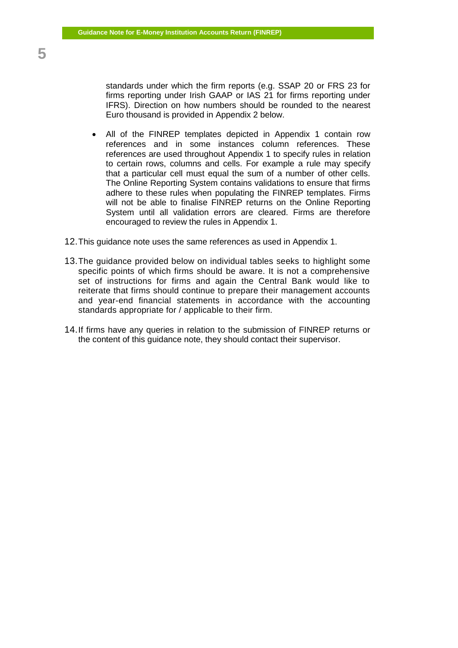standards under which the firm reports (e.g. SSAP 20 or FRS 23 for firms reporting under Irish GAAP or IAS 21 for firms reporting under IFRS). Direction on how numbers should be rounded to the nearest Euro thousand is provided in Appendix 2 below.

- All of the FINREP templates depicted in Appendix 1 contain row references and in some instances column references. These references are used throughout Appendix 1 to specify rules in relation to certain rows, columns and cells. For example a rule may specify that a particular cell must equal the sum of a number of other cells. The Online Reporting System contains validations to ensure that firms adhere to these rules when populating the FINREP templates. Firms will not be able to finalise FINREP returns on the Online Reporting System until all validation errors are cleared. Firms are therefore encouraged to review the rules in Appendix 1.
- 12.This guidance note uses the same references as used in Appendix 1.
- 13.The guidance provided below on individual tables seeks to highlight some specific points of which firms should be aware. It is not a comprehensive set of instructions for firms and again the Central Bank would like to reiterate that firms should continue to prepare their management accounts and year-end financial statements in accordance with the accounting standards appropriate for / applicable to their firm.
- 14.If firms have any queries in relation to the submission of FINREP returns or the content of this guidance note, they should contact their supervisor.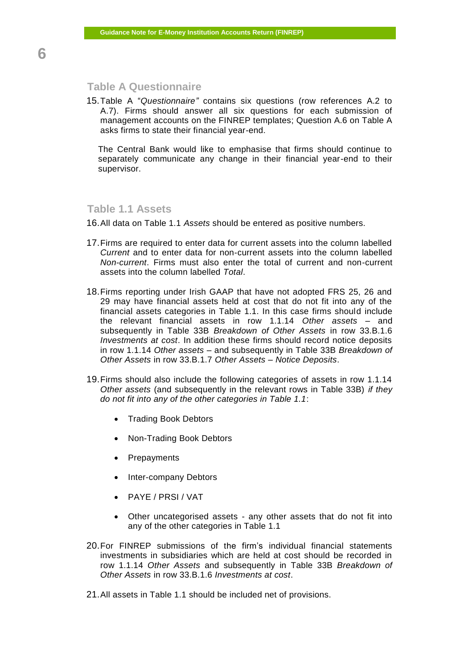## <span id="page-8-0"></span>**Table A Questionnaire**

15.Table A "*Questionnaire"* contains six questions (row references A.2 to A.7). Firms should answer all six questions for each submission of management accounts on the FINREP templates; Question A.6 on Table A asks firms to state their financial year-end.

The Central Bank would like to emphasise that firms should continue to separately communicate any change in their financial year-end to their supervisor.

#### <span id="page-8-1"></span>**Table 1.1 Assets**

16.All data on Table 1.1 *Assets* should be entered as positive numbers.

- 17.Firms are required to enter data for current assets into the column labelled *Current* and to enter data for non-current assets into the column labelled *Non-current*. Firms must also enter the total of current and non-current assets into the column labelled *Total*.
- 18.Firms reporting under Irish GAAP that have not adopted FRS 25, 26 and 29 may have financial assets held at cost that do not fit into any of the financial assets categories in Table 1.1. In this case firms should include the relevant financial assets in row 1.1.14 *Other assets* – and subsequently in Table 33B *Breakdown of Other Assets* in row 33.B.1.6 *Investments at cost*. In addition these firms should record notice deposits in row 1.1.14 *Other assets* – and subsequently in Table 33B *Breakdown of Other Assets* in row 33.B.1.7 *Other Assets – Notice Deposits*.
- 19.Firms should also include the following categories of assets in row 1.1.14 *Other assets* (and subsequently in the relevant rows in Table 33B) *if they do not fit into any of the other categories in Table 1.1*:
	- Trading Book Debtors
	- Non-Trading Book Debtors
	- Prepayments
	- Inter-company Debtors
	- PAYE / PRSI / VAT
	- Other uncategorised assets any other assets that do not fit into any of the other categories in Table 1.1
- 20.For FINREP submissions of the firm's individual financial statements investments in subsidiaries which are held at cost should be recorded in row 1.1.14 *Other Assets* and subsequently in Table 33B *Breakdown of Other Assets* in row 33.B.1.6 *Investments at cost*.
- 21.All assets in Table 1.1 should be included net of provisions.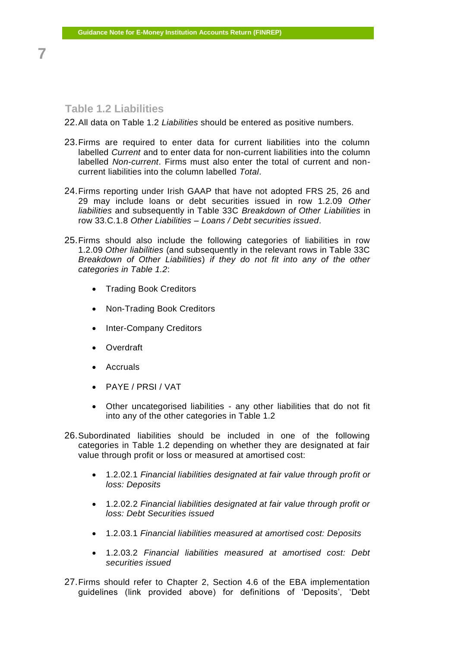## <span id="page-9-0"></span>**Table 1.2 Liabilities**

22.All data on Table 1.2 *Liabilities* should be entered as positive numbers.

- 23.Firms are required to enter data for current liabilities into the column labelled *Current* and to enter data for non-current liabilities into the column labelled *Non-current*. Firms must also enter the total of current and noncurrent liabilities into the column labelled *Total*.
- 24.Firms reporting under Irish GAAP that have not adopted FRS 25, 26 and 29 may include loans or debt securities issued in row 1.2.09 *Other liabilities* and subsequently in Table 33C *Breakdown of Other Liabilities* in row 33.C.1.8 *Other Liabilities – Loans / Debt securities issued*.
- 25.Firms should also include the following categories of liabilities in row 1.2.09 *Other liabilities* (and subsequently in the relevant rows in Table 33C *Breakdown of Other Liabilities*) *if they do not fit into any of the other categories in Table 1.2*:
	- Trading Book Creditors
	- Non-Trading Book Creditors
	- Inter-Company Creditors
	- Overdraft
	- Accruals
	- PAYE / PRSI / VAT
	- Other uncategorised liabilities any other liabilities that do not fit into any of the other categories in Table 1.2
- 26.Subordinated liabilities should be included in one of the following categories in Table 1.2 depending on whether they are designated at fair value through profit or loss or measured at amortised cost:
	- 1.2.02.1 *Financial liabilities designated at fair value through profit or loss: Deposits*
	- 1.2.02.2 *Financial liabilities designated at fair value through profit or loss: Debt Securities issued*
	- 1.2.03.1 *Financial liabilities measured at amortised cost: Deposits*
	- 1.2.03.2 *Financial liabilities measured at amortised cost: Debt securities issued*
- 27.Firms should refer to Chapter 2, Section 4.6 of the EBA implementation guidelines (link provided above) for definitions of 'Deposits', 'Debt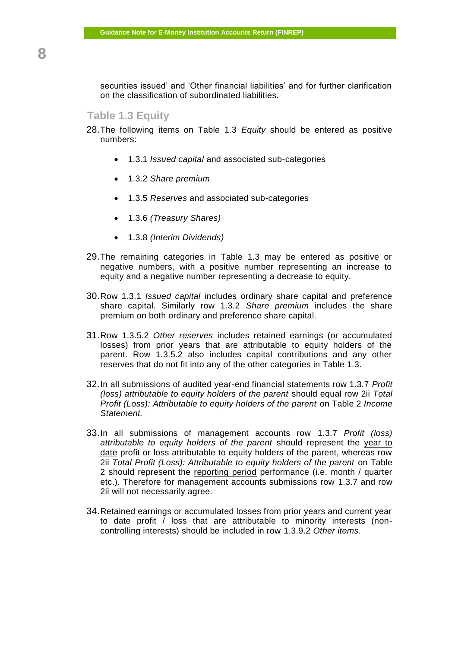securities issued' and 'Other financial liabilities' and for further clarification on the classification of subordinated liabilities.

#### <span id="page-10-0"></span>**Table 1.3 Equity**

- 28.The following items on Table 1.3 *Equity* should be entered as positive numbers:
	- 1.3.1 *Issued capital* and associated sub-categories
	- 1.3.2 *Share premium*
	- 1.3.5 *Reserves* and associated sub-categories
	- 1.3.6 *(Treasury Shares)*
	- 1.3.8 *(Interim Dividends)*
- 29.The remaining categories in Table 1.3 may be entered as positive or negative numbers, with a positive number representing an increase to equity and a negative number representing a decrease to equity.
- 30.Row 1.3.1 *Issued capital* includes ordinary share capital and preference share capital. Similarly row 1.3.2 *Share premium* includes the share premium on both ordinary and preference share capital.
- 31.Row 1.3.5.2 *Other reserves* includes retained earnings (or accumulated losses) from prior years that are attributable to equity holders of the parent. Row 1.3.5.2 also includes capital contributions and any other reserves that do not fit into any of the other categories in Table 1.3.
- 32.In all submissions of audited year-end financial statements row 1.3.7 *Profit (loss) attributable to equity holders of the parent* should equal row 2ii *Total Profit (Loss): Attributable to equity holders of the parent* on Table 2 *Income Statement.*
- 33.In all submissions of management accounts row 1.3.7 *Profit (loss) attributable to equity holders of the parent* should represent the year to date profit or loss attributable to equity holders of the parent, whereas row 2ii *Total Profit (Loss): Attributable to equity holders of the parent* on Table 2 should represent the reporting period performance (i.e. month / quarter etc.). Therefore for management accounts submissions row 1.3.7 and row 2ii will not necessarily agree.
- 34.Retained earnings or accumulated losses from prior years and current year to date profit / loss that are attributable to minority interests (noncontrolling interests) should be included in row 1.3.9.2 *Other items.*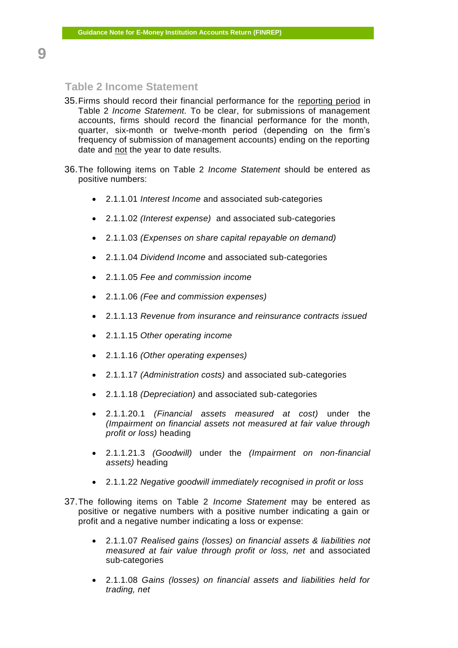#### <span id="page-11-0"></span>**Table 2 Income Statement**

- 35.Firms should record their financial performance for the reporting period in Table 2 *Income Statement.* To be clear, for submissions of management accounts, firms should record the financial performance for the month, quarter, six-month or twelve-month period (depending on the firm's frequency of submission of management accounts) ending on the reporting date and not the year to date results.
- 36.The following items on Table 2 *Income Statement* should be entered as positive numbers:
	- 2.1.1.01 *Interest Income* and associated sub-categories
	- 2.1.1.02 *(Interest expense)* and associated sub-categories
	- 2.1.1.03 *(Expenses on share capital repayable on demand)*
	- 2.1.1.04 *Dividend Income* and associated sub-categories
	- 2.1.1.05 *Fee and commission income*
	- 2.1.1.06 *(Fee and commission expenses)*
	- 2.1.1.13 *Revenue from insurance and reinsurance contracts issued*
	- 2.1.1.15 *Other operating income*
	- 2.1.1.16 *(Other operating expenses)*
	- 2.1.1.17 *(Administration costs)* and associated sub-categories
	- 2.1.1.18 *(Depreciation)* and associated sub-categories
	- 2.1.1.20.1 *(Financial assets measured at cost)* under the *(Impairment on financial assets not measured at fair value through profit or loss)* heading
	- 2.1.1.21.3 *(Goodwill)* under the *(Impairment on non-financial assets)* heading
	- 2.1.1.22 *Negative goodwill immediately recognised in profit or loss*
- 37.The following items on Table 2 *Income Statement* may be entered as positive or negative numbers with a positive number indicating a gain or profit and a negative number indicating a loss or expense:
	- 2.1.1.07 *Realised gains (losses) on financial assets & liabilities not measured at fair value through profit or loss, net* and associated sub-categories
	- 2.1.1.08 *Gains (losses) on financial assets and liabilities held for trading, net*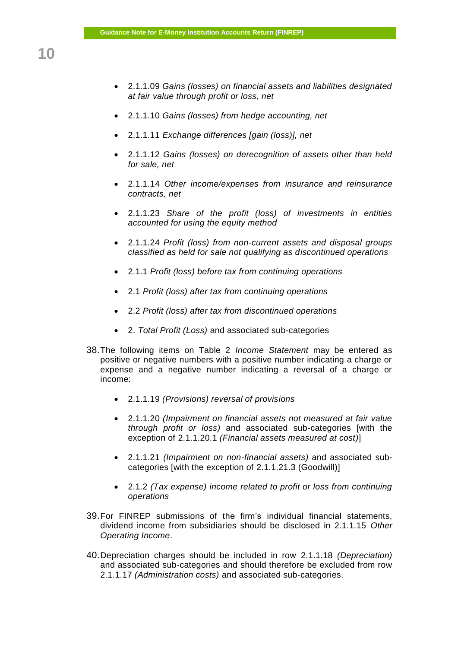- 2.1.1.09 *Gains (losses) on financial assets and liabilities designated at fair value through profit or loss, net*
- 2.1.1.10 *Gains (losses) from hedge accounting, net*
- 2.1.1.11 *Exchange differences [gain (loss)], net*
- 2.1.1.12 *Gains (losses) on derecognition of assets other than held for sale, net*
- 2.1.1.14 *Other income/expenses from insurance and reinsurance contracts, net*
- 2.1.1.23 *Share of the profit (loss) of investments in entities accounted for using the equity method*
- 2.1.1.24 *Profit (loss) from non-current assets and disposal groups classified as held for sale not qualifying as discontinued operations*
- 2.1.1 *Profit (loss) before tax from continuing operations*
- 2.1 *Profit (loss) after tax from continuing operations*
- 2.2 *Profit (loss) after tax from discontinued operations*
- 2. *Total Profit (Loss)* and associated sub-categories
- 38.The following items on Table 2 *Income Statement* may be entered as positive or negative numbers with a positive number indicating a charge or expense and a negative number indicating a reversal of a charge or income:
	- 2.1.1.19 *(Provisions) reversal of provisions*
	- 2.1.1.20 *(Impairment on financial assets not measured at fair value through profit or loss)* and associated sub-categories [with the exception of 2.1.1.20.1 *(Financial assets measured at cost)*]
	- 2.1.1.21 *(Impairment on non-financial assets)* and associated subcategories [with the exception of 2.1.1.21.3 (Goodwill)]
	- 2.1.2 *(Tax expense) income related to profit or loss from continuing operations*
- 39.For FINREP submissions of the firm's individual financial statements, dividend income from subsidiaries should be disclosed in 2.1.1.15 *Other Operating Income*.
- 40.Depreciation charges should be included in row 2.1.1.18 *(Depreciation)* and associated sub-categories and should therefore be excluded from row 2.1.1.17 *(Administration costs)* and associated sub-categories.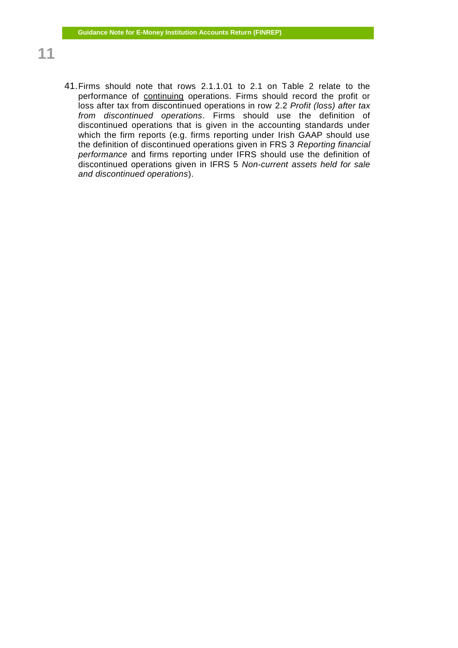- 41.Firms should note that rows 2.1.1.01 to 2.1 on Table 2 relate to the performance of continuing operations. Firms should record the profit or loss after tax from discontinued operations in row 2.2 *Profit (loss) after tax from discontinued operations*. Firms should use the definition of discontinued operations that is given in the accounting standards under which the firm reports (e.g. firms reporting under Irish GAAP should use the definition of discontinued operations given in FRS 3 *Reporting financial performance* and firms reporting under IFRS should use the definition of discontinued operations given in IFRS 5 *Non-current assets held for sale and discontinued operations*).
- **11**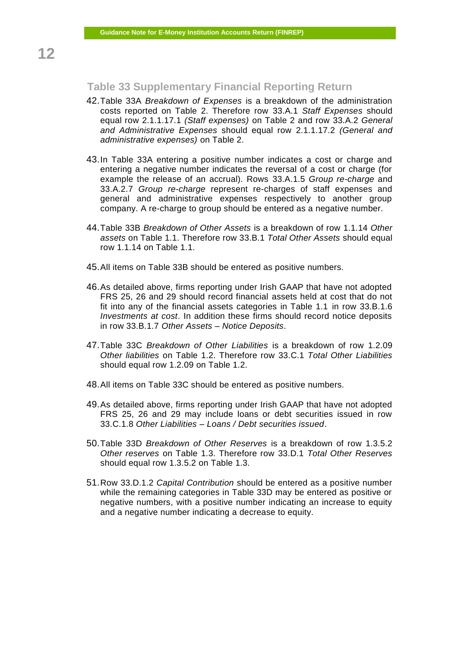#### <span id="page-14-0"></span>**Table 33 Supplementary Financial Reporting Return**

- 42.Table 33A *Breakdown of Expenses* is a breakdown of the administration costs reported on Table 2. Therefore row 33.A.1 *Staff Expenses* should equal row 2.1.1.17.1 *(Staff expenses)* on Table 2 and row 33.A.2 *General and Administrative Expenses* should equal row 2.1.1.17.2 *(General and administrative expenses)* on Table 2.
- 43.In Table 33A entering a positive number indicates a cost or charge and entering a negative number indicates the reversal of a cost or charge (for example the release of an accrual). Rows 33.A.1.5 *Group re-charge* and 33.A.2.7 *Group re-charge* represent re-charges of staff expenses and general and administrative expenses respectively to another group company. A re-charge to group should be entered as a negative number.
- 44.Table 33B *Breakdown of Other Assets* is a breakdown of row 1.1.14 *Other assets* on Table 1.1. Therefore row 33.B.1 *Total Other Assets* should equal row 1.1.14 on Table 1.1.
- 45.All items on Table 33B should be entered as positive numbers.
- 46.As detailed above, firms reporting under Irish GAAP that have not adopted FRS 25, 26 and 29 should record financial assets held at cost that do not fit into any of the financial assets categories in Table 1.1 in row 33.B.1.6 *Investments at cost*. In addition these firms should record notice deposits in row 33.B.1.7 *Other Assets – Notice Deposits*.
- 47.Table 33C *Breakdown of Other Liabilities* is a breakdown of row 1.2.09 *Other liabilities* on Table 1.2. Therefore row 33.C.1 *Total Other Liabilities*  should equal row 1.2.09 on Table 1.2.
- 48.All items on Table 33C should be entered as positive numbers.
- 49.As detailed above, firms reporting under Irish GAAP that have not adopted FRS 25, 26 and 29 may include loans or debt securities issued in row 33.C.1.8 *Other Liabilities – Loans / Debt securities issued*.
- 50.Table 33D *Breakdown of Other Reserves* is a breakdown of row 1.3.5.2 *Other reserves* on Table 1.3. Therefore row 33.D.1 *Total Other Reserves*  should equal row 1.3.5.2 on Table 1.3.
- 51.Row 33.D.1.2 *Capital Contribution* should be entered as a positive number while the remaining categories in Table 33D may be entered as positive or negative numbers, with a positive number indicating an increase to equity and a negative number indicating a decrease to equity.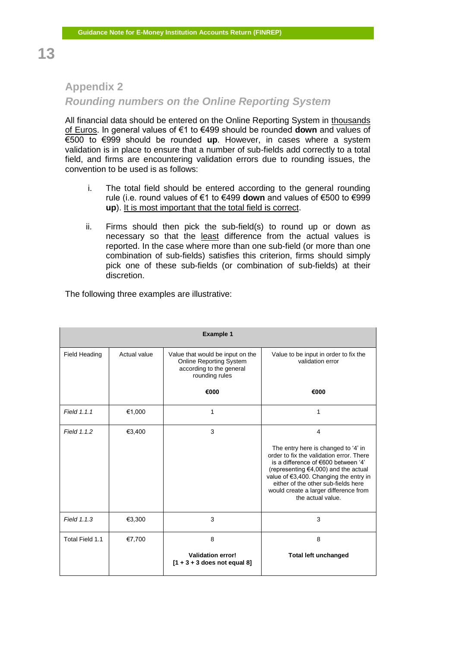## <span id="page-15-0"></span>**Appendix 2**

## *Rounding numbers on the Online Reporting System*

All financial data should be entered on the Online Reporting System in thousands of Euros. In general values of €1 to €499 should be rounded **down** and values of €500 to €999 should be rounded **up**. However, in cases where a system validation is in place to ensure that a number of sub-fields add correctly to a total field, and firms are encountering validation errors due to rounding issues, the convention to be used is as follows:

- i. The total field should be entered according to the general rounding rule (i.e. round values of €1 to €499 **down** and values of €500 to €999 **up**). It is most important that the total field is correct.
- ii. Firms should then pick the sub-field(s) to round up or down as necessary so that the least difference from the actual values is reported. In the case where more than one sub-field (or more than one combination of sub-fields) satisfies this criterion, firms should simply pick one of these sub-fields (or combination of sub-fields) at their discretion.

| <b>Example 1</b>     |              |                                                                                                                  |                                                                                                                                                                                                                                                                                                                       |  |  |
|----------------------|--------------|------------------------------------------------------------------------------------------------------------------|-----------------------------------------------------------------------------------------------------------------------------------------------------------------------------------------------------------------------------------------------------------------------------------------------------------------------|--|--|
| <b>Field Heading</b> | Actual value | Value that would be input on the<br><b>Online Reporting System</b><br>according to the general<br>rounding rules | Value to be input in order to fix the<br>validation error                                                                                                                                                                                                                                                             |  |  |
|                      |              | €000                                                                                                             | €000                                                                                                                                                                                                                                                                                                                  |  |  |
| Field 1.1.1          | €1,000       | 1                                                                                                                | 1                                                                                                                                                                                                                                                                                                                     |  |  |
| Field 1.1.2          | €3,400       | 3                                                                                                                | 4<br>The entry here is changed to '4' in<br>order to fix the validation error. There<br>is a difference of €600 between '4'<br>(representing $€4,000$ ) and the actual<br>value of €3,400. Changing the entry in<br>either of the other sub-fields here<br>would create a larger difference from<br>the actual value. |  |  |
| Field 1.1.3          | €3,300       | 3                                                                                                                | 3                                                                                                                                                                                                                                                                                                                     |  |  |
| Total Field 1.1      | €7,700       | 8<br><b>Validation error!</b><br>$[1 + 3 + 3$ does not equal 8]                                                  | 8<br><b>Total left unchanged</b>                                                                                                                                                                                                                                                                                      |  |  |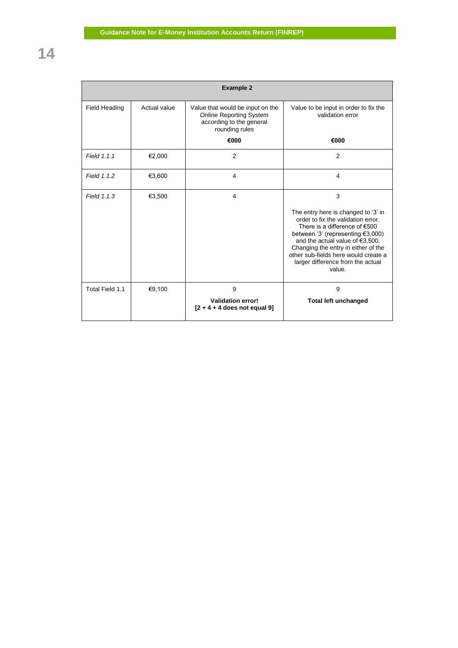|                      |              | <b>Example 2</b>                                                                                                 |                                                                                                                                                                                                                                                                                                                         |
|----------------------|--------------|------------------------------------------------------------------------------------------------------------------|-------------------------------------------------------------------------------------------------------------------------------------------------------------------------------------------------------------------------------------------------------------------------------------------------------------------------|
| <b>Field Heading</b> | Actual value | Value that would be input on the<br><b>Online Reporting System</b><br>according to the general<br>rounding rules | Value to be input in order to fix the<br>validation error                                                                                                                                                                                                                                                               |
|                      |              | €000                                                                                                             | €000                                                                                                                                                                                                                                                                                                                    |
| Field 1.1.1          | €2,000       | 2                                                                                                                | 2                                                                                                                                                                                                                                                                                                                       |
| Field 1.1.2          | €3,600       | 4                                                                                                                | 4                                                                                                                                                                                                                                                                                                                       |
| Field 1.1.3          | €3,500       | 4                                                                                                                | 3<br>The entry here is changed to '3' in<br>order to fix the validation error.<br>There is a difference of $€500$<br>between '3' (representing €3,000)<br>and the actual value of €3,500.<br>Changing the entry in either of the<br>other sub-fields here would create a<br>larger difference from the actual<br>value. |
| Total Field 1.1      | €9,100       | 9<br><b>Validation error!</b><br>$[2 + 4 + 4$ does not equal 9]                                                  | 9<br><b>Total left unchanged</b>                                                                                                                                                                                                                                                                                        |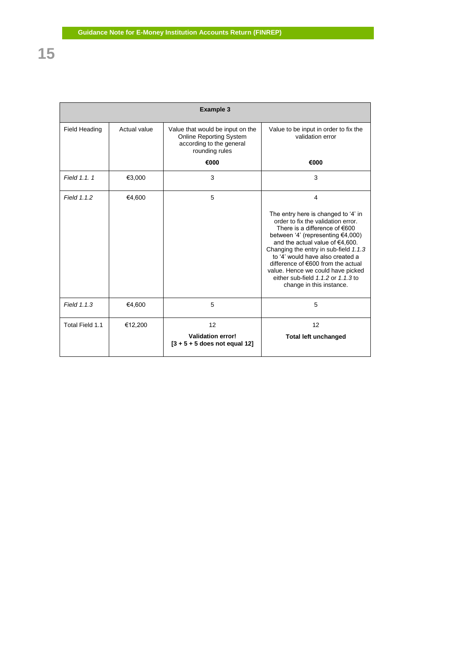| <b>Example 3</b> |              |                                                                                                                  |                                                                                                                                                                                                                                                               |  |  |
|------------------|--------------|------------------------------------------------------------------------------------------------------------------|---------------------------------------------------------------------------------------------------------------------------------------------------------------------------------------------------------------------------------------------------------------|--|--|
| Field Heading    | Actual value | Value that would be input on the<br><b>Online Reporting System</b><br>according to the general<br>rounding rules | Value to be input in order to fix the<br>validation error                                                                                                                                                                                                     |  |  |
|                  |              | €000                                                                                                             | €000                                                                                                                                                                                                                                                          |  |  |
| Field 1.1.1      | €3,000       | 3                                                                                                                | 3                                                                                                                                                                                                                                                             |  |  |
| Field 1.1.2      | €4,600       | 5                                                                                                                | 4<br>The entry here is changed to '4' in<br>order to fix the validation error.<br>There is a difference of $€600$<br>between '4' (representing $€4,000$ )                                                                                                     |  |  |
|                  |              |                                                                                                                  | and the actual value of €4,600.<br>Changing the entry in sub-field 1.1.3<br>to '4' would have also created a<br>difference of €600 from the actual<br>value. Hence we could have picked<br>either sub-field $1.1.2$ or $1.1.3$ to<br>change in this instance. |  |  |
| Field 1.1.3      | €4,600       | 5                                                                                                                | 5                                                                                                                                                                                                                                                             |  |  |
| Total Field 1.1  | €12,200      | 12                                                                                                               | 12                                                                                                                                                                                                                                                            |  |  |
|                  |              | <b>Validation error!</b><br>$[3 + 5 + 5$ does not equal 12]                                                      | <b>Total left unchanged</b>                                                                                                                                                                                                                                   |  |  |